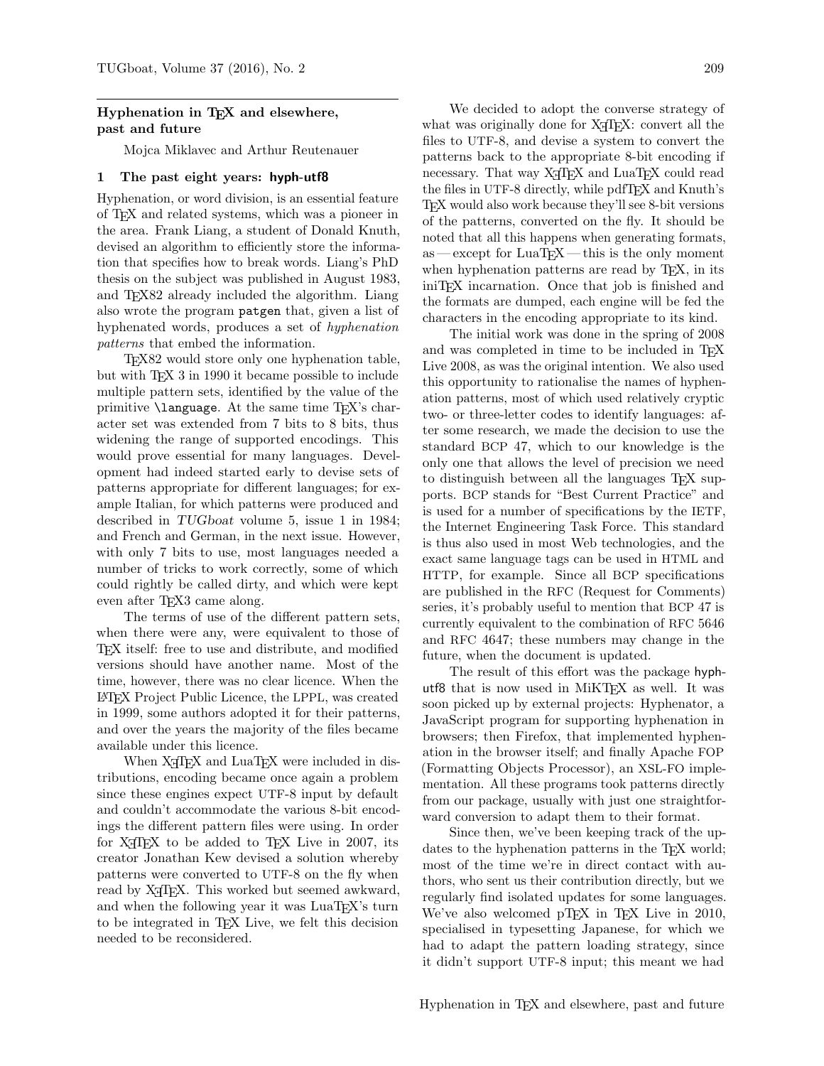### Hyphenation in T<sub>F</sub>X and elsewhere, past and future

Mojca Miklavec and Arthur Reutenauer

# 1 The past eight years: hyph-utf8

Hyphenation, or word division, is an essential feature of TEX and related systems, which was a pioneer in the area. Frank Liang, a student of Donald Knuth, devised an algorithm to efficiently store the information that specifies how to break words. Liang's PhD thesis on the subject was published in August 1983, and T<sub>E</sub>X82 already included the algorithm. Liang also wrote the program patgen that, given a list of hyphenated words, produces a set of hyphenation patterns that embed the information.

TEX82 would store only one hyphenation table, but with TEX 3 in 1990 it became possible to include multiple pattern sets, identified by the value of the primitive  $\Lambda$  anguage. At the same time T<sub>EX</sub>'s character set was extended from 7 bits to 8 bits, thus widening the range of supported encodings. This would prove essential for many languages. Development had indeed started early to devise sets of patterns appropriate for different languages; for example Italian, for which patterns were produced and described in TUGboat volume 5, issue 1 in 1984; and French and German, in the next issue. However, with only 7 bits to use, most languages needed a number of tricks to work correctly, some of which could rightly be called dirty, and which were kept even after T<sub>EX3</sub> came along.

The terms of use of the different pattern sets, when there were any, were equivalent to those of TEX itself: free to use and distribute, and modified versions should have another name. Most of the time, however, there was no clear licence. When the LATEX Project Public Licence, the LPPL, was created in 1999, some authors adopted it for their patterns, and over the years the majority of the files became available under this licence.

When XAIEX and LuaTEX were included in distributions, encoding became once again a problem since these engines expect UTF-8 input by default and couldn't accommodate the various 8-bit encodings the different pattern files were using. In order for  $X \nsubseteq IX$  to be added to TFX Live in 2007, its creator Jonathan Kew devised a solution whereby patterns were converted to UTF-8 on the fly when read by X<sub>T</sub>T<sub>F</sub>X. This worked but seemed awkward, and when the following year it was  $\text{LuaT} \xi$ 's turn to be integrated in TEX Live, we felt this decision needed to be reconsidered.

We decided to adopt the converse strategy of what was originally done for X<sub>T</sub>T<sub>E</sub>X: convert all the files to UTF-8, and devise a system to convert the patterns back to the appropriate 8-bit encoding if necessary. That way X<sub>T</sub>T<sub>E</sub>X and LuaT<sub>E</sub>X could read the files in UTF-8 directly, while pdfT<sub>F</sub>X and Knuth's TEX would also work because they'll see 8-bit versions of the patterns, converted on the fly. It should be noted that all this happens when generating formats, as—except for  $\text{LuaTr}X$ —this is the only moment when hyphenation patterns are read by T<sub>E</sub>X, in its iniTEX incarnation. Once that job is finished and the formats are dumped, each engine will be fed the characters in the encoding appropriate to its kind.

The initial work was done in the spring of 2008 and was completed in time to be included in T<sub>EX</sub> Live 2008, as was the original intention. We also used this opportunity to rationalise the names of hyphenation patterns, most of which used relatively cryptic two- or three-letter codes to identify languages: after some research, we made the decision to use the standard BCP 47, which to our knowledge is the only one that allows the level of precision we need to distinguish between all the languages TEX supports. BCP stands for "Best Current Practice" and is used for a number of specifications by the IETF, the Internet Engineering Task Force. This standard is thus also used in most Web technologies, and the exact same language tags can be used in HTML and HTTP, for example. Since all BCP specifications are published in the RFC (Request for Comments) series, it's probably useful to mention that BCP 47 is currently equivalent to the combination of RFC 5646 and RFC 4647; these numbers may change in the future, when the document is updated.

The result of this effort was the package hyphutf8 that is now used in MiKTEX as well. It was soon picked up by external projects: Hyphenator, a JavaScript program for supporting hyphenation in browsers; then Firefox, that implemented hyphenation in the browser itself; and finally Apache FOP (Formatting Objects Processor), an XSL-FO implementation. All these programs took patterns directly from our package, usually with just one straightforward conversion to adapt them to their format.

Since then, we've been keeping track of the updates to the hyphenation patterns in the T<sub>EX</sub> world; most of the time we're in direct contact with authors, who sent us their contribution directly, but we regularly find isolated updates for some languages. We've also welcomed pTFX in TFX Live in 2010, specialised in typesetting Japanese, for which we had to adapt the pattern loading strategy, since it didn't support UTF-8 input; this meant we had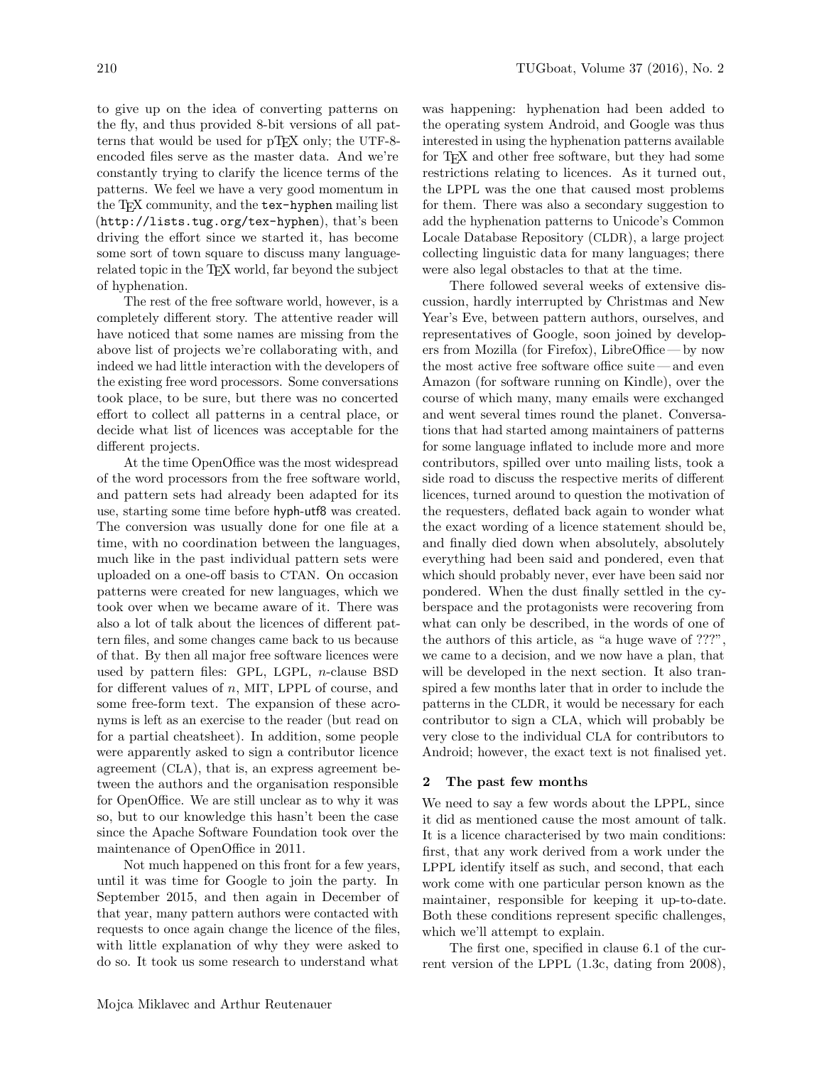to give up on the idea of converting patterns on the fly, and thus provided 8-bit versions of all patterns that would be used for pTEX only; the UTF-8 encoded files serve as the master data. And we're constantly trying to clarify the licence terms of the patterns. We feel we have a very good momentum in the T<sub>E</sub>X community, and the tex-hyphen mailing list (http://lists.tug.org/tex-hyphen), that's been driving the effort since we started it, has become some sort of town square to discuss many languagerelated topic in the T<sub>EX</sub> world, far beyond the subject of hyphenation.

The rest of the free software world, however, is a completely different story. The attentive reader will have noticed that some names are missing from the above list of projects we're collaborating with, and indeed we had little interaction with the developers of the existing free word processors. Some conversations took place, to be sure, but there was no concerted effort to collect all patterns in a central place, or decide what list of licences was acceptable for the different projects.

At the time OpenOffice was the most widespread of the word processors from the free software world, and pattern sets had already been adapted for its use, starting some time before hyph-utf8 was created. The conversion was usually done for one file at a time, with no coordination between the languages, much like in the past individual pattern sets were uploaded on a one-off basis to CTAN. On occasion patterns were created for new languages, which we took over when we became aware of it. There was also a lot of talk about the licences of different pattern files, and some changes came back to us because of that. By then all major free software licences were used by pattern files: GPL, LGPL, n-clause BSD for different values of  $n$ , MIT, LPPL of course, and some free-form text. The expansion of these acronyms is left as an exercise to the reader (but read on for a partial cheatsheet). In addition, some people were apparently asked to sign a contributor licence agreement (CLA), that is, an express agreement between the authors and the organisation responsible for OpenOffice. We are still unclear as to why it was so, but to our knowledge this hasn't been the case since the Apache Software Foundation took over the maintenance of OpenOffice in 2011.

Not much happened on this front for a few years, until it was time for Google to join the party. In September 2015, and then again in December of that year, many pattern authors were contacted with requests to once again change the licence of the files, with little explanation of why they were asked to do so. It took us some research to understand what

was happening: hyphenation had been added to the operating system Android, and Google was thus interested in using the hyphenation patterns available for T<sub>F</sub>X and other free software, but they had some restrictions relating to licences. As it turned out, the LPPL was the one that caused most problems for them. There was also a secondary suggestion to add the hyphenation patterns to Unicode's Common Locale Database Repository (CLDR), a large project collecting linguistic data for many languages; there were also legal obstacles to that at the time.

There followed several weeks of extensive discussion, hardly interrupted by Christmas and New Year's Eve, between pattern authors, ourselves, and representatives of Google, soon joined by developers from Mozilla (for Firefox), LibreOffice — by now the most active free software office suite — and even Amazon (for software running on Kindle), over the course of which many, many emails were exchanged and went several times round the planet. Conversations that had started among maintainers of patterns for some language inflated to include more and more contributors, spilled over unto mailing lists, took a side road to discuss the respective merits of different licences, turned around to question the motivation of the requesters, deflated back again to wonder what the exact wording of a licence statement should be, and finally died down when absolutely, absolutely everything had been said and pondered, even that which should probably never, ever have been said nor pondered. When the dust finally settled in the cyberspace and the protagonists were recovering from what can only be described, in the words of one of the authors of this article, as "a huge wave of ???", we came to a decision, and we now have a plan, that will be developed in the next section. It also transpired a few months later that in order to include the patterns in the CLDR, it would be necessary for each contributor to sign a CLA, which will probably be very close to the individual CLA for contributors to Android; however, the exact text is not finalised yet.

#### 2 The past few months

We need to say a few words about the LPPL, since it did as mentioned cause the most amount of talk. It is a licence characterised by two main conditions: first, that any work derived from a work under the LPPL identify itself as such, and second, that each work come with one particular person known as the maintainer, responsible for keeping it up-to-date. Both these conditions represent specific challenges, which we'll attempt to explain.

The first one, specified in clause 6.1 of the current version of the LPPL (1.3c, dating from 2008),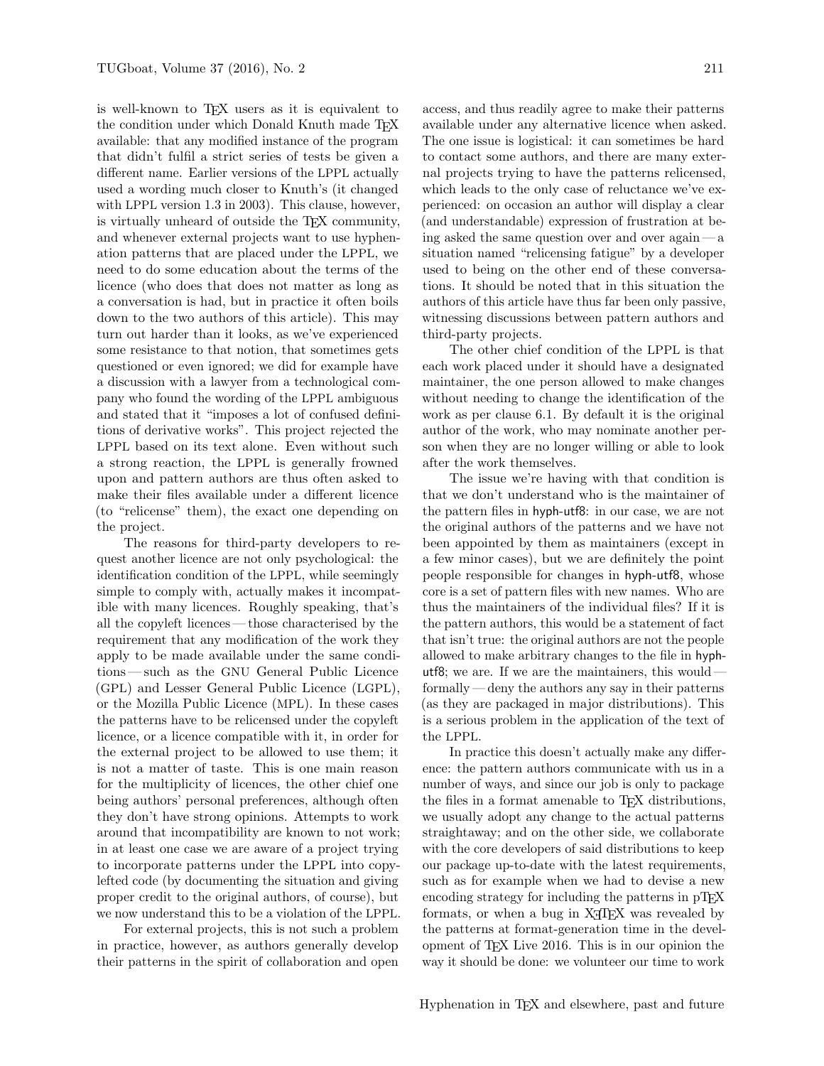is well-known to T<sub>E</sub>X users as it is equivalent to the condition under which Donald Knuth made TFX available: that any modified instance of the program that didn't fulfil a strict series of tests be given a different name. Earlier versions of the LPPL actually used a wording much closer to Knuth's (it changed with LPPL version 1.3 in 2003). This clause, however, is virtually unheard of outside the TEX community, and whenever external projects want to use hyphenation patterns that are placed under the LPPL, we need to do some education about the terms of the licence (who does that does not matter as long as a conversation is had, but in practice it often boils down to the two authors of this article). This may turn out harder than it looks, as we've experienced some resistance to that notion, that sometimes gets questioned or even ignored; we did for example have a discussion with a lawyer from a technological company who found the wording of the LPPL ambiguous and stated that it "imposes a lot of confused definitions of derivative works". This project rejected the LPPL based on its text alone. Even without such a strong reaction, the LPPL is generally frowned upon and pattern authors are thus often asked to make their files available under a different licence (to "relicense" them), the exact one depending on the project.

The reasons for third-party developers to request another licence are not only psychological: the identification condition of the LPPL, while seemingly simple to comply with, actually makes it incompatible with many licences. Roughly speaking, that's all the copyleft licences — those characterised by the requirement that any modification of the work they apply to be made available under the same conditions— such as the GNU General Public Licence (GPL) and Lesser General Public Licence (LGPL), or the Mozilla Public Licence (MPL). In these cases the patterns have to be relicensed under the copyleft licence, or a licence compatible with it, in order for the external project to be allowed to use them; it is not a matter of taste. This is one main reason for the multiplicity of licences, the other chief one being authors' personal preferences, although often they don't have strong opinions. Attempts to work around that incompatibility are known to not work; in at least one case we are aware of a project trying to incorporate patterns under the LPPL into copylefted code (by documenting the situation and giving proper credit to the original authors, of course), but we now understand this to be a violation of the LPPL.

For external projects, this is not such a problem in practice, however, as authors generally develop their patterns in the spirit of collaboration and open

access, and thus readily agree to make their patterns available under any alternative licence when asked. The one issue is logistical: it can sometimes be hard to contact some authors, and there are many external projects trying to have the patterns relicensed, which leads to the only case of reluctance we've experienced: on occasion an author will display a clear (and understandable) expression of frustration at being asked the same question over and over again — a situation named "relicensing fatigue" by a developer used to being on the other end of these conversations. It should be noted that in this situation the authors of this article have thus far been only passive, witnessing discussions between pattern authors and third-party projects.

The other chief condition of the LPPL is that each work placed under it should have a designated maintainer, the one person allowed to make changes without needing to change the identification of the work as per clause 6.1. By default it is the original author of the work, who may nominate another person when they are no longer willing or able to look after the work themselves.

The issue we're having with that condition is that we don't understand who is the maintainer of the pattern files in hyph-utf8: in our case, we are not the original authors of the patterns and we have not been appointed by them as maintainers (except in a few minor cases), but we are definitely the point people responsible for changes in hyph-utf8, whose core is a set of pattern files with new names. Who are thus the maintainers of the individual files? If it is the pattern authors, this would be a statement of fact that isn't true: the original authors are not the people allowed to make arbitrary changes to the file in hyphutf8; we are. If we are the maintainers, this would formally — deny the authors any say in their patterns (as they are packaged in major distributions). This is a serious problem in the application of the text of the LPPL.

In practice this doesn't actually make any difference: the pattern authors communicate with us in a number of ways, and since our job is only to package the files in a format amenable to T<sub>EX</sub> distributions, we usually adopt any change to the actual patterns straightaway; and on the other side, we collaborate with the core developers of said distributions to keep our package up-to-date with the latest requirements, such as for example when we had to devise a new encoding strategy for including the patterns in  $pTFX$ formats, or when a bug in X<sub>T</sub>T<sub>F</sub>X was revealed by the patterns at format-generation time in the development of TEX Live 2016. This is in our opinion the way it should be done: we volunteer our time to work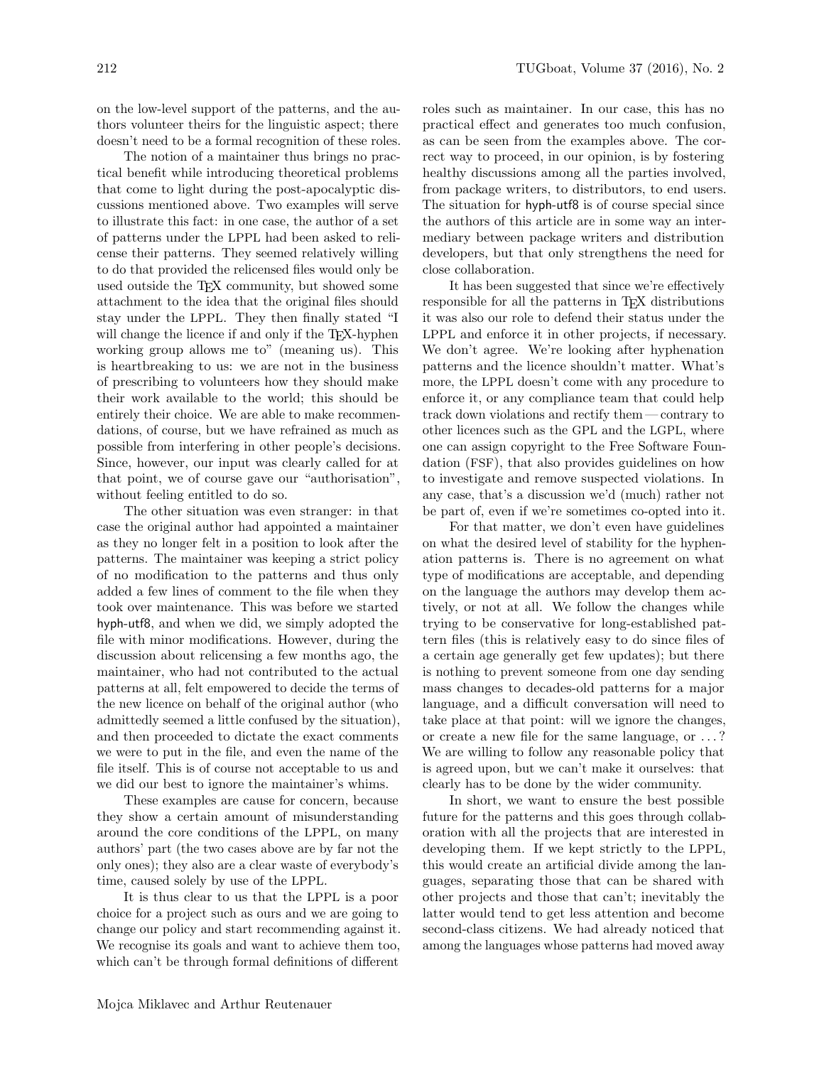on the low-level support of the patterns, and the authors volunteer theirs for the linguistic aspect; there doesn't need to be a formal recognition of these roles.

The notion of a maintainer thus brings no practical benefit while introducing theoretical problems that come to light during the post-apocalyptic discussions mentioned above. Two examples will serve to illustrate this fact: in one case, the author of a set of patterns under the LPPL had been asked to relicense their patterns. They seemed relatively willing to do that provided the relicensed files would only be used outside the TEX community, but showed some attachment to the idea that the original files should stay under the LPPL. They then finally stated "I will change the licence if and only if the TEX-hyphen working group allows me to" (meaning us). This is heartbreaking to us: we are not in the business of prescribing to volunteers how they should make their work available to the world; this should be entirely their choice. We are able to make recommendations, of course, but we have refrained as much as possible from interfering in other people's decisions. Since, however, our input was clearly called for at that point, we of course gave our "authorisation", without feeling entitled to do so.

The other situation was even stranger: in that case the original author had appointed a maintainer as they no longer felt in a position to look after the patterns. The maintainer was keeping a strict policy of no modification to the patterns and thus only added a few lines of comment to the file when they took over maintenance. This was before we started hyph-utf8, and when we did, we simply adopted the file with minor modifications. However, during the discussion about relicensing a few months ago, the maintainer, who had not contributed to the actual patterns at all, felt empowered to decide the terms of the new licence on behalf of the original author (who admittedly seemed a little confused by the situation), and then proceeded to dictate the exact comments we were to put in the file, and even the name of the file itself. This is of course not acceptable to us and we did our best to ignore the maintainer's whims.

These examples are cause for concern, because they show a certain amount of misunderstanding around the core conditions of the LPPL, on many authors' part (the two cases above are by far not the only ones); they also are a clear waste of everybody's time, caused solely by use of the LPPL.

It is thus clear to us that the LPPL is a poor choice for a project such as ours and we are going to change our policy and start recommending against it. We recognise its goals and want to achieve them too, which can't be through formal definitions of different

roles such as maintainer. In our case, this has no practical effect and generates too much confusion, as can be seen from the examples above. The correct way to proceed, in our opinion, is by fostering healthy discussions among all the parties involved, from package writers, to distributors, to end users. The situation for hyph-utf8 is of course special since the authors of this article are in some way an intermediary between package writers and distribution developers, but that only strengthens the need for close collaboration.

It has been suggested that since we're effectively responsible for all the patterns in T<sub>EX</sub> distributions it was also our role to defend their status under the LPPL and enforce it in other projects, if necessary. We don't agree. We're looking after hyphenation patterns and the licence shouldn't matter. What's more, the LPPL doesn't come with any procedure to enforce it, or any compliance team that could help track down violations and rectify them — contrary to other licences such as the GPL and the LGPL, where one can assign copyright to the Free Software Foundation (FSF), that also provides guidelines on how to investigate and remove suspected violations. In any case, that's a discussion we'd (much) rather not be part of, even if we're sometimes co-opted into it.

For that matter, we don't even have guidelines on what the desired level of stability for the hyphenation patterns is. There is no agreement on what type of modifications are acceptable, and depending on the language the authors may develop them actively, or not at all. We follow the changes while trying to be conservative for long-established pattern files (this is relatively easy to do since files of a certain age generally get few updates); but there is nothing to prevent someone from one day sending mass changes to decades-old patterns for a major language, and a difficult conversation will need to take place at that point: will we ignore the changes, or create a new file for the same language, or . . . ? We are willing to follow any reasonable policy that is agreed upon, but we can't make it ourselves: that clearly has to be done by the wider community.

In short, we want to ensure the best possible future for the patterns and this goes through collaboration with all the projects that are interested in developing them. If we kept strictly to the LPPL, this would create an artificial divide among the languages, separating those that can be shared with other projects and those that can't; inevitably the latter would tend to get less attention and become second-class citizens. We had already noticed that among the languages whose patterns had moved away